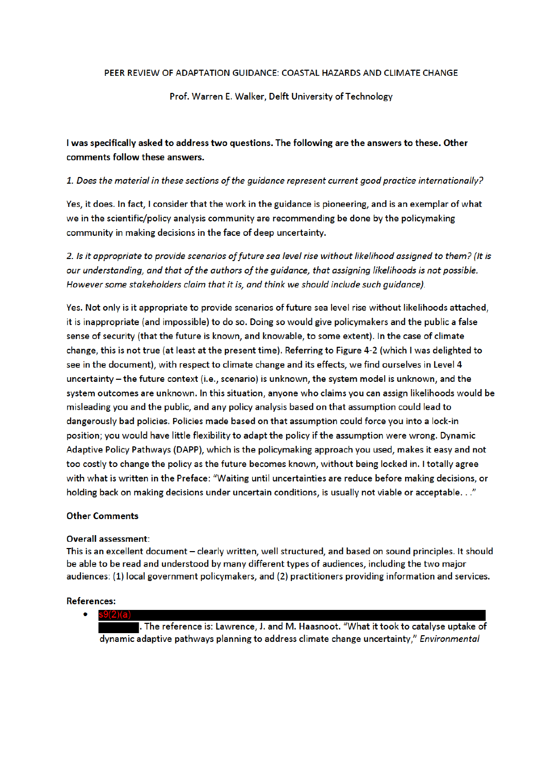#### PEER REVIEW OF ADAPTATION GUIDANCE: COASTAL HAZARDS AND CLIMATE CHANGE

### Prof. Warren E. Walker, Delft University of Technology

I was specifically asked to address two questions. The following are the answers to these. Other comments follow these answers.

## 1. Does the material in these sections of the quidance represent current good practice internationally?

Yes, it does. In fact, I consider that the work in the guidance is pioneering, and is an exemplar of what we in the scientific/policy analysis community are recommending be done by the policymaking community in making decisions in the face of deep uncertainty.

2. Is it appropriate to provide scenarios of future sea level rise without likelihood assigned to them? (It is our understanding, and that of the authors of the guidance, that assigning likelihoods is not possible. However some stakeholders claim that it is, and think we should include such guidance).

Yes. Not only is it appropriate to provide scenarios of future sea level rise without likelihoods attached, it is inappropriate (and impossible) to do so. Doing so would give policymakers and the public a false sense of security (that the future is known, and knowable, to some extent). In the case of climate change, this is not true (at least at the present time). Referring to Figure 4-2 (which I was delighted to see in the document), with respect to climate change and its effects, we find ourselves in Level 4 uncertainty - the future context (i.e., scenario) is unknown, the system model is unknown, and the system outcomes are unknown. In this situation, anyone who claims you can assign likelihoods would be misleading you and the public, and any policy analysis based on that assumption could lead to dangerously bad policies. Policies made based on that assumption could force you into a lock-in position; you would have little flexibility to adapt the policy if the assumption were wrong. Dynamic Adaptive Policy Pathways (DAPP), which is the policymaking approach you used, makes it easy and not too costly to change the policy as the future becomes known, without being locked in. I totally agree with what is written in the Preface: "Waiting until uncertainties are reduce before making decisions, or holding back on making decisions under uncertain conditions, is usually not viable or acceptable. . ."

## **Other Comments**

#### **Overall assessment:**

This is an excellent document - clearly written, well structured, and based on sound principles. It should be able to be read and understood by many different types of audiences, including the two major audiences: (1) local government policymakers, and (2) practitioners providing information and services.

#### **References:**

 $\bullet$  $s9(2)(a)$ . The reference is: Lawrence, J. and M. Haasnoot. "What it took to catalyse uptake of dynamic adaptive pathways planning to address climate change uncertainty," Environmental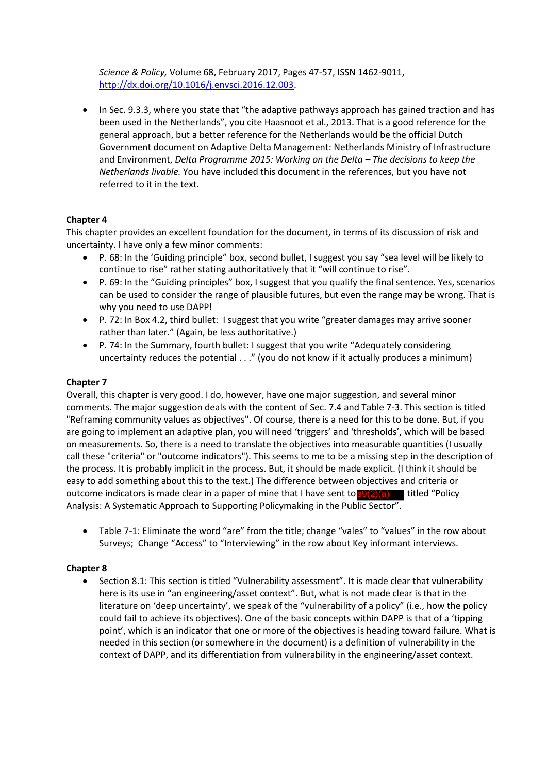*Science & Policy,* Volume 68, February 2017, Pages 47-57, ISSN 1462-9011, http://dx.doi.org/10.1016/j.envsci.2016.12.003.

• In Sec. 9.3.3, where you state that "the adaptive pathways approach has gained traction and has been used in the Netherlands", you cite Haasnoot et al., 2013. That is a good reference for the general approach, but a better reference for the Netherlands would be the official Dutch Government document on Adaptive Delta Management: Netherlands Ministry of Infrastructure and Environment, *Delta Programme 2015: Working on the Delta – The decisions to keep the Netherlands livable.* You have included this document in the references, but you have not referred to it in the text.

# **Chapter 4**

This chapter provides an excellent foundation for the document, in terms of its discussion of risk and uncertainty. I have only a few minor comments:

- P. 68: In the 'Guiding principle" box, second bullet, I suggest you say "sea level will be likely to continue to rise" rather stating authoritatively that it "will continue to rise".
- P. 69: In the "Guiding principles" box, I suggest that you qualify the final sentence. Yes, scenarios can be used to consider the range of plausible futures, but even the range may be wrong. That is why you need to use DAPP!
- P. 72: In Box 4.2, third bullet: I suggest that you write "greater damages may arrive sooner rather than later." (Again, be less authoritative.)
- P. 74: In the Summary, fourth bullet: I suggest that you write "Adequately considering uncertainty reduces the potential . . ." (you do not know if it actually produces a minimum)

## **Chapter 7**

Overall, this chapter is very good. I do, however, have one major suggestion, and several minor comments. The major suggestion deals with the content of Sec. 7.4 and Table 7-3. This section is titled "Reframing community values as objectives". Of course, there is a need for this to be done. But, if you are going to implement an adaptive plan, you will need 'triggers' and 'thresholds', which will be based on measurements. So, there is a need to translate the objectives into measurable quantities (I usually call these "criteria" or "outcome indicators"). This seems to me to be a missing step in the description of the process. It is probably implicit in the process. But, it should be made explicit. (I think it should be easy to add something about this to the text.) The difference between objectives and criteria or outcome indicators is made clear in a paper of mine that I have sent to **s9(2)(a)** titled "Policy Analysis: A Systematic Approach to Supporting Policymaking in the Public Sector".

 Table 7-1: Eliminate the word "are" from the title; change "vales" to "values" in the row about Surveys; Change "Access" to "Interviewing" in the row about Key informant interviews.

## **Chapter 8**

• Section 8.1: This section is titled "Vulnerability assessment". It is made clear that vulnerability here is its use in "an engineering/asset context". But, what is not made clear is that in the literature on 'deep uncertainty', we speak of the "vulnerability of a policy" (i.e., how the policy could fail to achieve its objectives). One of the basic concepts within DAPP is that of a 'tipping point', which is an indicator that one or more of the objectives is heading toward failure. What is needed in this section (or somewhere in the document) is a definition of vulnerability in the context of DAPP, and its differentiation from vulnerability in the engineering/asset context.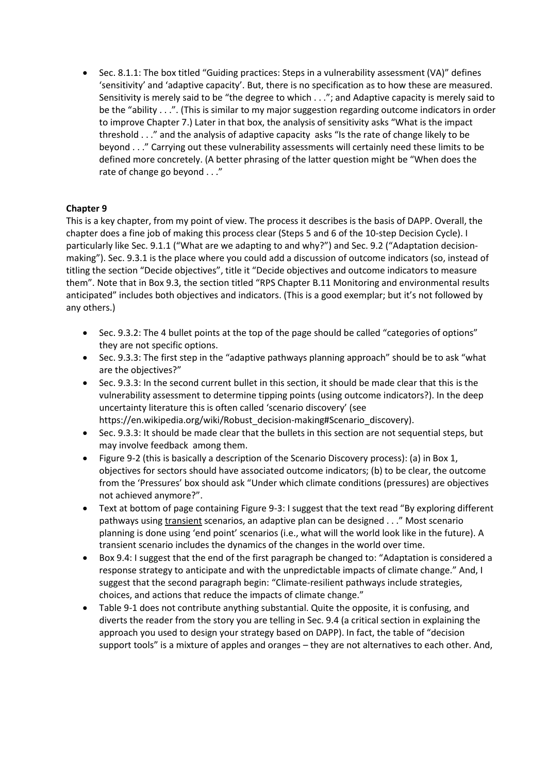Sec. 8.1.1: The box titled "Guiding practices: Steps in a vulnerability assessment (VA)" defines 'sensitivity' and 'adaptive capacity'. But, there is no specification as to how these are measured. Sensitivity is merely said to be "the degree to which . . ."; and Adaptive capacity is merely said to be the "ability . . .". (This is similar to my major suggestion regarding outcome indicators in order to improve Chapter 7.) Later in that box, the analysis of sensitivity asks "What is the impact threshold . . ." and the analysis of adaptive capacity asks "Is the rate of change likely to be beyond . . ." Carrying out these vulnerability assessments will certainly need these limits to be defined more concretely. (A better phrasing of the latter question might be "When does the rate of change go beyond . . ."

## **Chapter 9**

This is a key chapter, from my point of view. The process it describes is the basis of DAPP. Overall, the chapter does a fine job of making this process clear (Steps 5 and 6 of the 10-step Decision Cycle). I particularly like Sec. 9.1.1 ("What are we adapting to and why?") and Sec. 9.2 ("Adaptation decisionmaking"). Sec. 9.3.1 is the place where you could add a discussion of outcome indicators (so, instead of titling the section "Decide objectives", title it "Decide objectives and outcome indicators to measure them". Note that in Box 9.3, the section titled "RPS Chapter B.11 Monitoring and environmental results anticipated" includes both objectives and indicators. (This is a good exemplar; but it's not followed by any others.)

- Sec. 9.3.2: The 4 bullet points at the top of the page should be called "categories of options" they are not specific options.
- Sec. 9.3.3: The first step in the "adaptive pathways planning approach" should be to ask "what are the objectives?"
- Sec. 9.3.3: In the second current bullet in this section, it should be made clear that this is the vulnerability assessment to determine tipping points (using outcome indicators?). In the deep uncertainty literature this is often called 'scenario discovery' (see https://en.wikipedia.org/wiki/Robust\_decision-making#Scenario\_discovery).
- Sec. 9.3.3: It should be made clear that the bullets in this section are not sequential steps, but may involve feedback among them.
- Figure 9-2 (this is basically a description of the Scenario Discovery process): (a) in Box 1, objectives for sectors should have associated outcome indicators; (b) to be clear, the outcome from the 'Pressures' box should ask "Under which climate conditions (pressures) are objectives not achieved anymore?".
- Text at bottom of page containing Figure 9-3: I suggest that the text read "By exploring different pathways using transient scenarios, an adaptive plan can be designed . . ." Most scenario planning is done using 'end point' scenarios (i.e., what will the world look like in the future). A transient scenario includes the dynamics of the changes in the world over time.
- Box 9.4: I suggest that the end of the first paragraph be changed to: "Adaptation is considered a response strategy to anticipate and with the unpredictable impacts of climate change." And, I suggest that the second paragraph begin: "Climate-resilient pathways include strategies, choices, and actions that reduce the impacts of climate change."
- Table 9-1 does not contribute anything substantial. Quite the opposite, it is confusing, and diverts the reader from the story you are telling in Sec. 9.4 (a critical section in explaining the approach you used to design your strategy based on DAPP). In fact, the table of "decision support tools" is a mixture of apples and oranges – they are not alternatives to each other. And,